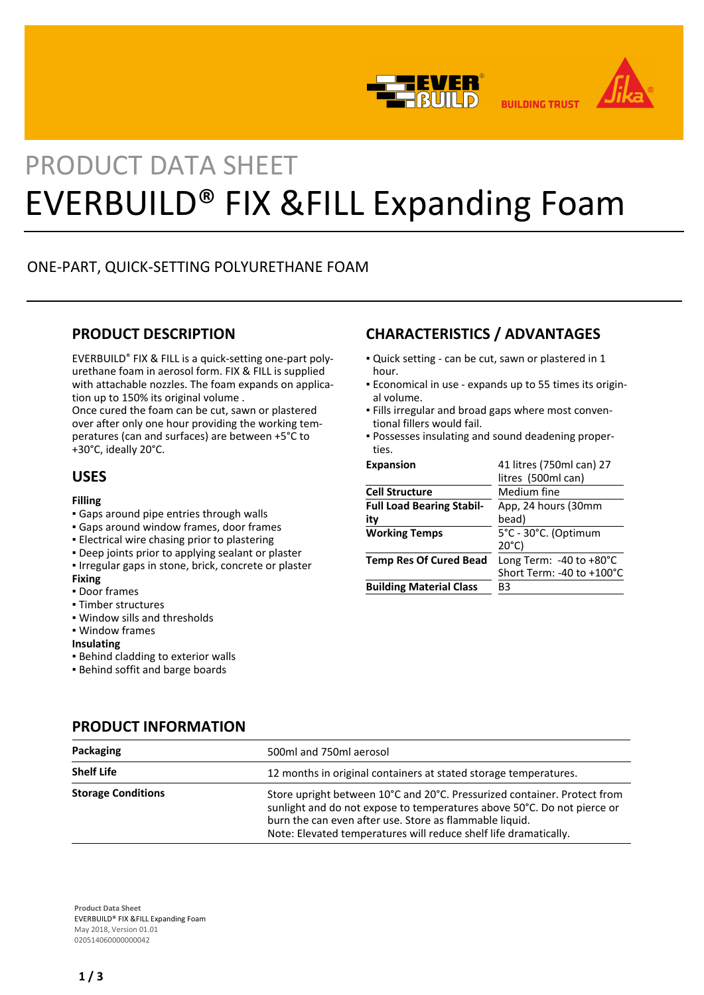



**BUILDING TRUST** 

# PRODUCT DATA SHEET EVERBUILD® FIX &FILL Expanding Foam

# ONE-PART, QUICK-SETTING POLYURETHANE FOAM

# **PRODUCT DESCRIPTION**

EVERBUILD® FIX & FILL is a quick-setting one-part polyurethane foam in aerosol form. FIX & FILL is supplied with attachable nozzles. The foam expands on application up to 150% its original volume .

Once cured the foam can be cut, sawn or plastered over after only one hour providing the working temperatures (can and surfaces) are between +5°C to +30°C, ideally 20°C.

# **USES**

#### **Filling**

- Gaps around pipe entries through walls
- Gaps around window frames, door frames
- **Electrical wire chasing prior to plastering**
- **Deep joints prior to applying sealant or plaster**
- Irregular gaps in stone, brick, concrete or plaster

#### **Fixing**

- Door frames
- Timber structures
- Window sills and thresholds
- Window frames

#### **Insulating**

- **.** Behind cladding to exterior walls
- Behind soffit and barge boards

# **CHARACTERISTICS / ADVANTAGES**

- Quick setting can be cut, sawn or plastered in 1 hour.
- Economical in use expands up to 55 times its origin-▪ al volume.
- Fills irregular and broad gaps where most conven-▪ tional fillers would fail.
- Possesses insulating and sound deadening proper-▪ ties.

| <b>Expansion</b>                 | 41 litres (750ml can) 27            |
|----------------------------------|-------------------------------------|
|                                  | litres (500ml can)                  |
| <b>Cell Structure</b>            | Medium fine                         |
| <b>Full Load Bearing Stabil-</b> | App, 24 hours (30mm                 |
| itv                              | bead)                               |
| <b>Working Temps</b>             | 5°C - 30°C. (Optimum                |
|                                  | $20^{\circ}$ C)                     |
| <b>Temp Res Of Cured Bead</b>    | Long Term: $-40$ to $+80^{\circ}$ C |
|                                  | Short Term: -40 to +100°C           |
| <b>Building Material Class</b>   | B3                                  |
|                                  |                                     |

# **PRODUCT INFORMATION**

| Packaging                 | 500ml and 750ml aerosol                                                                                                                                                                                                                                                            |
|---------------------------|------------------------------------------------------------------------------------------------------------------------------------------------------------------------------------------------------------------------------------------------------------------------------------|
| <b>Shelf Life</b>         | 12 months in original containers at stated storage temperatures.                                                                                                                                                                                                                   |
| <b>Storage Conditions</b> | Store upright between 10°C and 20°C. Pressurized container. Protect from<br>sunlight and do not expose to temperatures above 50°C. Do not pierce or<br>burn the can even after use. Store as flammable liquid.<br>Note: Elevated temperatures will reduce shelf life dramatically. |

**Product Data Sheet** EVERBUILD® FIX &FILL Expanding Foam May 2018, Version 01.01 020514060000000042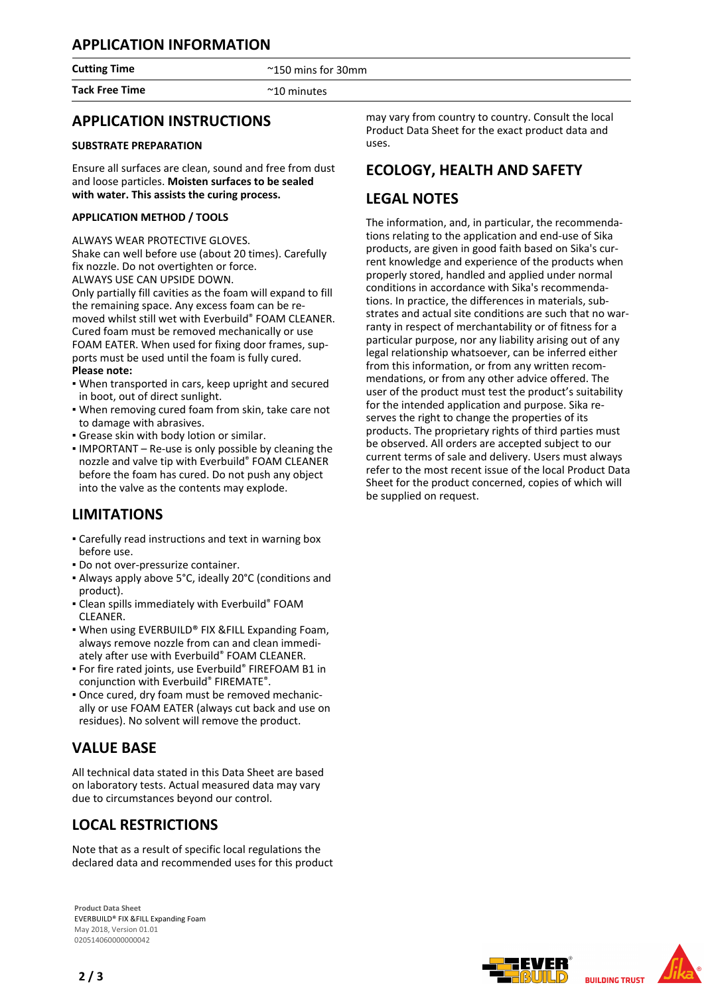# **APPLICATION INFORMATION**

**Cutting Time**  $\sim$  2150 mins for 30mm

**Tack Free Time Contract Contract Contract Contract Contract Contract Contract Contract Contract Contract Contract Contract Contract Contract Contract Contract Contract Contract Contract Contract Contract Contract Contra** 

# **APPLICATION INSTRUCTIONS**

### **SUBSTRATE PREPARATION**

Ensure all surfaces are clean, sound and free from dust and loose particles. **Moisten surfaces to be sealed with water. This assists the curing process.**

### **APPLICATION METHOD / TOOLS**

ALWAYS WEAR PROTECTIVE GLOVES.

Shake can well before use (about 20 times). Carefully fix nozzle. Do not overtighten or force. ALWAYS USE CAN UPSIDE DOWN.

Only partially fill cavities as the foam will expand to fill the remaining space. Any excess foam can be removed whilst still wet with Everbuild® FOAM CLEANER. Cured foam must be removed mechanically or use FOAM EATER. When used for fixing door frames, supports must be used until the foam is fully cured. **Please note:**

- When transported in cars, keep upright and secured in boot, out of direct sunlight.
- . When removing cured foam from skin, take care not to damage with abrasives.
- Grease skin with body lotion or similar.
- **IMPORTANT** Re-use is only possible by cleaning the nozzle and valve tip with Everbuild® FOAM CLEANER before the foam has cured. Do not push any object into the valve as the contents may explode.

# **LIMITATIONS**

- Carefully read instructions and text in warning box before use.
- Do not over-pressurize container.
- Always apply above 5°C, ideally 20°C (conditions and product).
- **Clean spills immediately with Everbuild® FOAM** CLEANER.
- When using EVERBUILD® FIX & FILL Expanding Foam, always remove nozzle from can and clean immediately after use with Everbuild® FOAM CLEANER.
- **For fire rated joints, use Everbuild® FIREFOAM B1 in** conjunction with Everbuild® FIREMATE®.
- Once cured, dry foam must be removed mechanic-▪ ally or use FOAM EATER (always cut back and use on residues). No solvent will remove the product.

# **VALUE BASE**

All technical data stated in this Data Sheet are based on laboratory tests. Actual measured data may vary due to circumstances beyond our control.

# **LOCAL RESTRICTIONS**

Note that as a result of specific local regulations the declared data and recommended uses for this product

**Product Data Sheet** EVERBUILD® FIX &FILL Expanding Foam May 2018, Version 01.01 020514060000000042

may vary from country to country. Consult the local Product Data Sheet for the exact product data and uses.

# **ECOLOGY, HEALTH AND SAFETY**

# **LEGAL NOTES**

The information, and, in particular, the recommendations relating to the application and end-use of Sika products, are given in good faith based on Sika's current knowledge and experience of the products when properly stored, handled and applied under normal conditions in accordance with Sika's recommendations. In practice, the differences in materials, substrates and actual site conditions are such that no warranty in respect of merchantability or of fitness for a particular purpose, nor any liability arising out of any legal relationship whatsoever, can be inferred either from this information, or from any written recommendations, or from any other advice offered. The user of the product must test the product's suitability for the intended application and purpose. Sika reserves the right to change the properties of its products. The proprietary rights of third parties must be observed. All orders are accepted subject to our current terms of sale and delivery. Users must always refer to the most recent issue of the local Product Data Sheet for the product concerned, copies of which will be supplied on request.